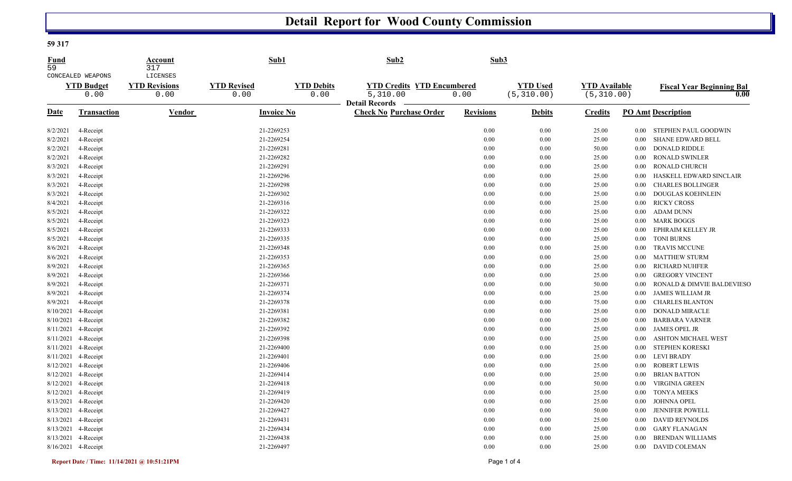## **Detail Report for Wood County Commission**

## **59 317**

| Fund<br>$\overline{59}$ | CONCEALED WEAPONS         | Account<br>317<br>LICENSES   | Sub1                       |                           | Sub <sub>2</sub>                                        | Sub <sub>3</sub> |                                |                                     |          |                                          |
|-------------------------|---------------------------|------------------------------|----------------------------|---------------------------|---------------------------------------------------------|------------------|--------------------------------|-------------------------------------|----------|------------------------------------------|
|                         | <b>YTD Budget</b><br>0.00 | <b>YTD Revisions</b><br>0.00 | <b>YTD Revised</b><br>0.00 | <b>YTD Debits</b><br>0.00 | <b>YTD Credits YTD Encumbered</b><br>5,310.00           | 0.00             | <b>YTD Used</b><br>(5, 310.00) | <b>YTD Available</b><br>(5, 310.00) |          | <b>Fiscal Year Beginning Bal</b><br>0.00 |
| <b>Date</b>             | Transaction               | Vendor                       | <b>Invoice No</b>          |                           | <b>Detail Records</b><br><b>Check No Purchase Order</b> | <b>Revisions</b> | <b>Debits</b>                  | <b>Credits</b>                      |          | <b>PO Amt Description</b>                |
| 8/2/2021                | 4-Receipt                 |                              | 21-2269253                 |                           |                                                         | 0.00             | 0.00                           | 25.00                               | $0.00\,$ | STEPHEN PAUL GOODWIN                     |
| 8/2/2021                | 4-Receipt                 |                              | 21-2269254                 |                           |                                                         | 0.00             | 0.00                           | 25.00                               | $0.00\,$ | <b>SHANE EDWARD BELL</b>                 |
| 8/2/2021                | 4-Receipt                 |                              | 21-2269281                 |                           |                                                         | 0.00             | 0.00                           | 50.00                               | $0.00\,$ | <b>DONALD RIDDLE</b>                     |
| 8/2/2021                | 4-Receipt                 |                              | 21-2269282                 |                           |                                                         | 0.00             | 0.00                           | 25.00                               | $0.00\,$ | <b>RONALD SWINLER</b>                    |
| 8/3/2021                | 4-Receipt                 |                              | 21-2269291                 |                           |                                                         | 0.00             | 0.00                           | 25.00                               | 0.00     | <b>RONALD CHURCH</b>                     |
| 8/3/2021                | 4-Receipt                 |                              | 21-2269296                 |                           |                                                         | 0.00             | 0.00                           | 25.00                               | $0.00\,$ | HASKELL EDWARD SINCLAIR                  |
| 8/3/2021                | 4-Receipt                 |                              | 21-2269298                 |                           |                                                         | 0.00             | 0.00                           | 25.00                               | 0.00     | <b>CHARLES BOLLINGER</b>                 |
| 8/3/2021                | 4-Receipt                 |                              | 21-2269302                 |                           |                                                         | 0.00             | 0.00                           | 25.00                               | $0.00\,$ | DOUGLAS KOEHNLEIN                        |
| 8/4/2021                | 4-Receipt                 |                              | 21-2269316                 |                           |                                                         | 0.00             | 0.00                           | 25.00                               | $0.00\,$ | <b>RICKY CROSS</b>                       |
| 8/5/2021                | 4-Receipt                 |                              | 21-2269322                 |                           |                                                         | 0.00             | 0.00                           | 25.00                               | $0.00\,$ | <b>ADAM DUNN</b>                         |
| 8/5/2021                | 4-Receipt                 |                              | 21-2269323                 |                           |                                                         | 0.00             | 0.00                           | 25.00                               | $0.00\,$ | <b>MARK BOGGS</b>                        |
| 8/5/2021                | 4-Receipt                 |                              | 21-2269333                 |                           |                                                         | 0.00             | 0.00                           | 25.00                               | $0.00\,$ | EPHRAIM KELLEY JR                        |
| 8/5/2021                | 4-Receipt                 |                              | 21-2269335                 |                           |                                                         | 0.00             | 0.00                           | 25.00                               | $0.00\,$ | <b>TONI BURNS</b>                        |
| 8/6/2021                | 4-Receipt                 |                              | 21-2269348                 |                           |                                                         | 0.00             | 0.00                           | 25.00                               | $0.00\,$ | <b>TRAVIS MCCUNE</b>                     |
| 8/6/2021                | 4-Receipt                 |                              | 21-2269353                 |                           |                                                         | 0.00             | 0.00                           | 25.00                               | $0.00\,$ | <b>MATTHEW STURM</b>                     |
| 8/9/2021                | 4-Receipt                 |                              | 21-2269365                 |                           |                                                         | 0.00             | 0.00                           | 25.00                               | $0.00\,$ | <b>RICHARD NUHFER</b>                    |
| 8/9/2021                | 4-Receipt                 |                              | 21-2269366                 |                           |                                                         | 0.00             | 0.00                           | 25.00                               | $0.00\,$ | <b>GREGORY VINCENT</b>                   |
| 8/9/2021                | 4-Receipt                 |                              | 21-2269371                 |                           |                                                         | 0.00             | 0.00                           | 50.00                               | 0.00     | RONALD & DIMVIE BALDEVIESO               |
| 8/9/2021                | 4-Receipt                 |                              | 21-2269374                 |                           |                                                         | 0.00             | 0.00                           | 25.00                               | $0.00\,$ | <b>JAMES WILLIAM JR</b>                  |
| 8/9/2021                | 4-Receipt                 |                              | 21-2269378                 |                           |                                                         | 0.00             | 0.00                           | 75.00                               | $0.00\,$ | CHARLES BLANTON                          |
| 8/10/2021               | 4-Receipt                 |                              | 21-2269381                 |                           |                                                         | 0.00             | 0.00                           | 25.00                               | $0.00\,$ | DONALD MIRACLE                           |
| 8/10/2021               | 4-Receipt                 |                              | 21-2269382                 |                           |                                                         | 0.00             | 0.00                           | 25.00                               | 0.00     | <b>BARBARA VARNER</b>                    |
|                         | 8/11/2021 4-Receipt       |                              | 21-2269392                 |                           |                                                         | 0.00             | 0.00                           | 25.00                               | $0.00\,$ | <b>JAMES OPEL JR</b>                     |
| 8/11/2021               | 4-Receipt                 |                              | 21-2269398                 |                           |                                                         | 0.00             | 0.00                           | 25.00                               | 0.00     | <b>ASHTON MICHAEL WEST</b>               |
|                         | 8/11/2021 4-Receipt       |                              | 21-2269400                 |                           |                                                         | 0.00             | 0.00                           | 25.00                               | $0.00\,$ | STEPHEN KORESKI                          |
| 8/11/2021               | 4-Receipt                 |                              | 21-2269401                 |                           |                                                         | 0.00             | 0.00                           | 25.00                               | $0.00\,$ | <b>LEVI BRADY</b>                        |
|                         | 8/12/2021 4-Receipt       |                              | 21-2269406                 |                           |                                                         | 0.00             | 0.00                           | 25.00                               | $0.00\,$ | <b>ROBERT LEWIS</b>                      |
|                         | 8/12/2021 4-Receipt       |                              | 21-2269414                 |                           |                                                         | 0.00             | 0.00                           | 25.00                               | $0.00\,$ | <b>BRIAN BATTON</b>                      |
|                         | 8/12/2021 4-Receipt       |                              | 21-2269418                 |                           |                                                         | 0.00             | 0.00                           | 50.00                               | $0.00\,$ | <b>VIRGINIA GREEN</b>                    |
|                         | 8/12/2021 4-Receipt       |                              | 21-2269419                 |                           |                                                         | 0.00             | 0.00                           | 25.00                               | $0.00\,$ | <b>TONYA MEEKS</b>                       |
|                         | 8/13/2021 4-Receipt       |                              | 21-2269420                 |                           |                                                         | 0.00             | 0.00                           | 25.00                               | $0.00\,$ | JOHNNA OPEL                              |
|                         | 8/13/2021 4-Receipt       |                              | 21-2269427                 |                           |                                                         | 0.00             | 0.00                           | 50.00                               | $0.00\,$ | JENNIFER POWELL                          |
|                         | 8/13/2021 4-Receipt       |                              | 21-2269431                 |                           |                                                         | 0.00             | 0.00                           | 25.00                               | $0.00\,$ | <b>DAVID REYNOLDS</b>                    |
| 8/13/2021               | 4-Receipt                 |                              | 21-2269434                 |                           |                                                         | 0.00             | 0.00                           | 25.00                               | $0.00\,$ | <b>GARY FLANAGAN</b>                     |
|                         | 8/13/2021 4-Receipt       |                              | 21-2269438                 |                           |                                                         | 0.00             | 0.00                           | 25.00                               | 0.00     | <b>BRENDAN WILLIAMS</b>                  |
|                         | 8/16/2021 4-Receipt       |                              | 21-2269497                 |                           |                                                         | 0.00             | 0.00                           | 25.00                               | $0.00\,$ | <b>DAVID COLEMAN</b>                     |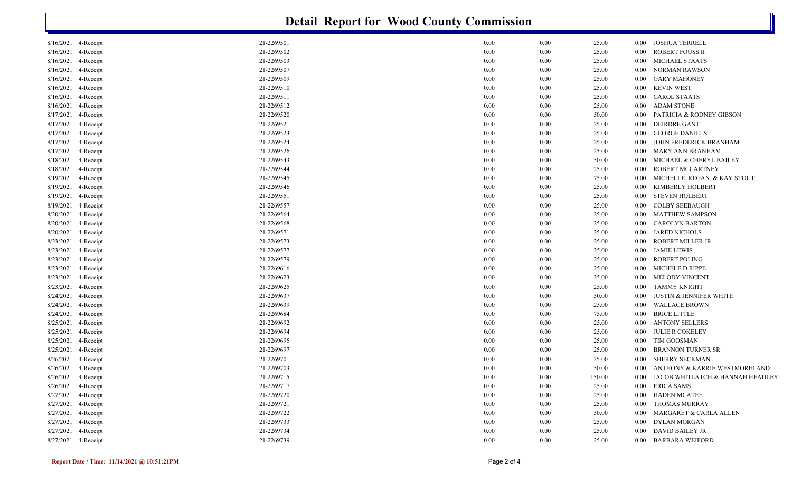| <b>Detail Report for Wood County Commission</b> |            |              |          |        |          |                                    |  |  |  |
|-------------------------------------------------|------------|--------------|----------|--------|----------|------------------------------------|--|--|--|
| 8/16/2021 4-Receipt                             | 21-2269501 | 0.00         | 0.00     | 25.00  | $0.00\,$ | <b>JOSHUA TERRELL</b>              |  |  |  |
| 4-Receipt<br>8/16/2021                          | 21-2269502 | 0.00         | 0.00     | 25.00  | 0.00     | <b>ROBERT FOUSS II</b>             |  |  |  |
| 8/16/2021<br>4-Receipt                          | 21-2269503 | 0.00         | 0.00     | 25.00  | 0.00     | <b>MICHAEL STAATS</b>              |  |  |  |
| 8/16/2021<br>4-Receipt                          | 21-2269507 | 0.00         | 0.00     | 25.00  | 0.00     | <b>NORMAN RAWSON</b>               |  |  |  |
| 8/16/2021<br>4-Receipt                          | 21-2269509 | 0.00         | 0.00     | 25.00  | 0.00     | <b>GARY MAHONEY</b>                |  |  |  |
| 8/16/2021<br>4-Receipt                          | 21-2269510 | 0.00         | 0.00     | 25.00  | 0.00     | <b>KEVIN WEST</b>                  |  |  |  |
| 8/16/2021<br>4-Receipt                          | 21-2269511 | 0.00         | 0.00     | 25.00  | 0.00     | <b>CAROL STAATS</b>                |  |  |  |
| 8/16/2021<br>4-Receipt                          | 21-2269512 | 0.00         | 0.00     | 25.00  | 0.00     | <b>ADAM STONE</b>                  |  |  |  |
| 8/17/2021<br>4-Receipt                          | 21-2269520 | 0.00         | 0.00     | 50.00  | 0.00     | PATRICIA & RODNEY GIBSON           |  |  |  |
| 8/17/2021<br>4-Receipt                          | 21-2269521 | 0.00         | 0.00     | 25.00  | 0.00     | <b>DEIRDRE GANT</b>                |  |  |  |
| 8/17/2021<br>4-Receipt                          | 21-2269523 | 0.00         | 0.00     | 25.00  | 0.00     | <b>GEORGE DANIELS</b>              |  |  |  |
| 4-Receipt<br>8/17/2021                          | 21-2269524 | 0.00         | 0.00     | 25.00  | 0.00     | JOHN FREDERICK BRANHAM             |  |  |  |
| 8/17/2021<br>4-Receipt                          | 21-2269526 | 0.00         | 0.00     | 25.00  | 0.00     | <b>MARY ANN BRANHAM</b>            |  |  |  |
| 8/18/2021<br>4-Receipt                          | 21-2269543 | 0.00         | 0.00     | 50.00  | 0.00     | MICHAEL & CHERYL BAILEY            |  |  |  |
| 4-Receipt<br>8/18/2021                          | 21-2269544 | 0.00         | 0.00     | 25.00  | 0.00     | ROBERT MCCARTNEY                   |  |  |  |
| 8/19/2021<br>4-Receipt                          | 21-2269545 | 0.00         | 0.00     | 75.00  | 0.00     | MICHELLE, REGAN, & KAY STOUT       |  |  |  |
| 8/19/2021<br>4-Receipt                          | 21-2269546 | 0.00         | 0.00     | 25.00  | 0.00     | KIMBERLY HOLBERT                   |  |  |  |
| 8/19/2021<br>4-Receipt                          | 21-2269551 | 0.00         | 0.00     | 25.00  | 0.00     | <b>STEVEN HOLBERT</b>              |  |  |  |
| 8/19/2021<br>4-Receipt                          | 21-2269557 | 0.00         | 0.00     | 25.00  | 0.00     | <b>COLBY SEEBAUGH</b>              |  |  |  |
| 8/20/2021<br>4-Receipt                          | 21-2269564 | 0.00         | 0.00     | 25.00  | 0.00     | <b>MATTHEW SAMPSON</b>             |  |  |  |
| 8/20/2021<br>4-Receipt                          | 21-2269568 | 0.00         | 0.00     | 25.00  | 0.00     | <b>CAROLYN BARTON</b>              |  |  |  |
| 8/20/2021<br>4-Receipt                          | 21-2269571 | 0.00         | 0.00     | 25.00  | 0.00     | <b>JARED NICHOLS</b>               |  |  |  |
| 8/23/2021<br>4-Receipt                          | 21-2269573 | 0.00         | 0.00     | 25.00  | 0.00     | ROBERT MILLER JR                   |  |  |  |
| 4-Receipt<br>8/23/2021                          | 21-2269577 | 0.00         | 0.00     | 25.00  | 0.00     | <b>JAMIE LEWIS</b>                 |  |  |  |
| 8/23/2021<br>4-Receipt                          | 21-2269579 | 0.00         | 0.00     | 25.00  | 0.00     | <b>ROBERT POLING</b>               |  |  |  |
| 8/23/2021<br>4-Receipt                          | 21-2269616 | 0.00         | 0.00     | 25.00  | 0.00     | MICHELE D RIPPE                    |  |  |  |
|                                                 | 21-2269623 |              |          |        |          | MELODY VINCENT                     |  |  |  |
| 4-Receipt<br>8/23/2021<br>8/23/2021             | 21-2269625 | 0.00<br>0.00 | 0.00     | 25.00  | 0.00     | <b>TAMMY KNIGHT</b>                |  |  |  |
| 4-Receipt<br>8/24/2021                          | 21-2269637 |              | 0.00     | 25.00  | 0.00     | JUSTIN & JENNIFER WHITE            |  |  |  |
| 4-Receipt                                       |            | 0.00         | 0.00     | 50.00  | 0.00     |                                    |  |  |  |
| 4-Receipt<br>8/24/2021                          | 21-2269639 | 0.00         | 0.00     | 25.00  | 0.00     | <b>WALLACE BROWN</b>               |  |  |  |
| 8/24/2021<br>4-Receipt                          | 21-2269684 | 0.00         | 0.00     | 75.00  | 0.00     | <b>BRICE LITTLE</b>                |  |  |  |
| 8/25/2021<br>4-Receipt                          | 21-2269692 | 0.00         | 0.00     | 25.00  | 0.00     | <b>ANTONY SELLERS</b>              |  |  |  |
| 8/25/2021<br>4-Receipt                          | 21-2269694 | 0.00         | 0.00     | 25.00  | 0.00     | <b>JULIE R COKELEY</b>             |  |  |  |
| 8/25/2021<br>4-Receipt                          | 21-2269695 | 0.00         | 0.00     | 25.00  | 0.00     | TIM GOOSMAN                        |  |  |  |
| 8/25/2021<br>4-Receipt                          | 21-2269697 | 0.00         | 0.00     | 25.00  | 0.00     | <b>BRANNON TURNER SR</b>           |  |  |  |
| 8/26/2021 4-Receipt                             | 21-2269701 | 0.00         | 0.00     | 25.00  | $0.00\,$ | SHERRY SECKMAN                     |  |  |  |
| 8/26/2021 4-Receipt                             | 21-2269703 | 0.00         | $0.00\,$ | 50.00  |          | 0.00 ANTHONY & KARRIE WESTMORELAND |  |  |  |
| 8/26/2021 4-Receipt                             | 21-2269715 | 0.00         | 0.00     | 150.00 | $0.00\,$ | JACOB WHITLATCH & HANNAH HEADLEY   |  |  |  |
| 8/26/2021 4-Receipt                             | 21-2269717 | 0.00         | 0.00     | 25.00  | $0.00\,$ | <b>ERICA SAMS</b>                  |  |  |  |
| 8/27/2021 4-Receipt                             | 21-2269720 | 0.00         | 0.00     | 25.00  | $0.00\,$ | <b>HADEN MCATEE</b>                |  |  |  |
| 8/27/2021 4-Receipt                             | 21-2269721 | 0.00         | 0.00     | 25.00  | $0.00\,$ | THOMAS MURRAY                      |  |  |  |
| 8/27/2021 4-Receipt                             | 21-2269722 | 0.00         | 0.00     | 50.00  | $0.00\,$ | MARGARET & CARLA ALLEN             |  |  |  |
| 8/27/2021 4-Receipt                             | 21-2269733 | 0.00         | $0.00\,$ | 25.00  | $0.00\,$ | DYLAN MORGAN                       |  |  |  |
| 8/27/2021 4-Receipt                             | 21-2269734 | $0.00\,$     | $0.00\,$ | 25.00  | $0.00\,$ | DAVID BAILEY JR                    |  |  |  |
| 8/27/2021 4-Receipt                             | 21-2269739 | 0.00         | $0.00\,$ | 25.00  |          | 0.00 BARBARA WEIFORD               |  |  |  |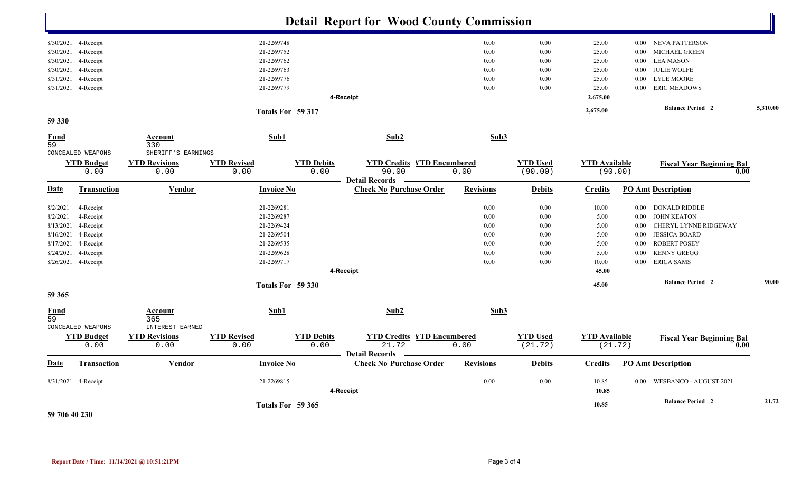|                                   |                           |                                                 |                            |                           | <b>Detail Report for Wood County Commission</b>         |                  |                            |                                 |          |                                          |       |
|-----------------------------------|---------------------------|-------------------------------------------------|----------------------------|---------------------------|---------------------------------------------------------|------------------|----------------------------|---------------------------------|----------|------------------------------------------|-------|
|                                   | 8/30/2021 4-Receipt       |                                                 | 21-2269748                 |                           |                                                         | 0.00             | 0.00                       | 25.00                           |          | 0.00 NEVA PATTERSON                      |       |
| 8/30/2021                         | 4-Receipt                 |                                                 | 21-2269752                 |                           |                                                         | 0.00             | 0.00                       | 25.00                           | 0.00     | MICHAEL GREEN                            |       |
| 8/30/2021                         | 4-Receipt                 |                                                 | 21-2269762                 |                           |                                                         | 0.00             | 0.00                       | 25.00                           | 0.00     | <b>LEA MASON</b>                         |       |
| 8/30/2021                         | 4-Receipt                 |                                                 | 21-2269763                 |                           |                                                         | 0.00             | 0.00                       | 25.00                           | $0.00\,$ | <b>JULIE WOLFE</b>                       |       |
| 8/31/2021                         | 4-Receipt                 |                                                 | 21-2269776                 |                           |                                                         | 0.00             | 0.00                       | 25.00                           | $0.00\,$ | <b>LYLE MOORE</b>                        |       |
|                                   | 8/31/2021 4-Receipt       | 21-2269779                                      |                            |                           |                                                         |                  | 0.00                       | 25.00                           | $0.00\,$ | <b>ERIC MEADOWS</b>                      |       |
|                                   |                           |                                                 |                            |                           | 4-Receipt                                               |                  |                            | 2,675.00                        |          |                                          |       |
|                                   |                           |                                                 |                            |                           | 2,675.00                                                |                  | <b>Balance Period 2</b>    | 5,310.00                        |          |                                          |       |
| 59 330                            |                           |                                                 |                            |                           |                                                         |                  |                            |                                 |          |                                          |       |
| Fund<br>59                        | CONCEALED WEAPONS         | <b>Account</b><br>330<br>SHERIFF'S EARNINGS     | Sub1                       |                           | Sub2                                                    | Sub3             |                            |                                 |          |                                          |       |
|                                   | <b>YTD Budget</b><br>0.00 | <b>YTD Revisions</b><br>0.00                    | <b>YTD Revised</b><br>0.00 | <b>YTD Debits</b><br>0.00 | <b>YTD Credits YTD Encumbered</b><br>90.00              | 0.00             | <b>YTD Used</b><br>(90.00) | <b>YTD Available</b><br>(90.00) |          | <b>Fiscal Year Beginning Bal</b><br>0.00 |       |
| <u>Date</u>                       | <b>Transaction</b>        | <b>Vendor</b>                                   | <b>Invoice No</b>          |                           | <b>Detail Records</b><br><b>Check No Purchase Order</b> | <b>Revisions</b> | <b>Debits</b>              | <b>Credits</b>                  |          | <b>PO Amt Description</b>                |       |
| 8/2/2021                          |                           |                                                 | 21-2269281                 |                           |                                                         | 0.00             | 0.00                       | 10.00                           |          | 0.00 DONALD RIDDLE                       |       |
| 8/2/2021                          | 4-Receipt<br>4-Receipt    |                                                 | 21-2269287                 |                           |                                                         | 0.00             | 0.00                       | 5.00                            | 0.00     | <b>JOHN KEATON</b>                       |       |
| 8/13/2021                         | 4-Receipt                 |                                                 | 21-2269424                 |                           |                                                         | 0.00             | 0.00                       | 5.00                            | $0.00\,$ | CHERYL LYNNE RIDGEWAY                    |       |
| 8/16/2021                         | 4-Receipt                 |                                                 | 21-2269504                 |                           |                                                         | 0.00             | 0.00                       | 5.00                            | $0.00\,$ | <b>JESSICA BOARD</b>                     |       |
| 8/17/2021                         | 4-Receipt                 |                                                 | 21-2269535                 |                           |                                                         | 0.00             | 0.00                       | 5.00                            | 0.00     | <b>ROBERT POSEY</b>                      |       |
| 8/24/2021                         | 4-Receipt                 |                                                 | 21-2269628                 |                           |                                                         | 0.00             | 0.00                       | 5.00                            | 0.00     | <b>KENNY GREGG</b>                       |       |
|                                   | 8/26/2021 4-Receipt       |                                                 | 21-2269717                 |                           |                                                         | 0.00             | 0.00                       | 10.00                           | $0.00\,$ | <b>ERICA SAMS</b>                        |       |
|                                   |                           |                                                 |                            |                           | 45.00                                                   |                  |                            |                                 |          |                                          |       |
|                                   |                           | 4-Receipt<br>Totals For 59 330                  |                            |                           |                                                         |                  |                            | 45.00                           |          | <b>Balance Period 2</b>                  | 90.00 |
| 59 365                            |                           |                                                 |                            |                           |                                                         |                  |                            |                                 |          |                                          |       |
| <u>Fund</u><br>59                 | CONCEALED WEAPONS         | <u>Account</u><br>365<br><b>INTEREST EARNED</b> | Sub1                       |                           | Sub2                                                    | Sub3             |                            |                                 |          |                                          |       |
|                                   | <b>YTD Budget</b>         | <b>YTD Revisions</b>                            | <b>YTD Revised</b>         | <b>YTD Debits</b>         | <b>YTD Credits YTD Encumbered</b>                       |                  | <b>YTD Used</b>            | <b>YTD</b> Available            |          | <b>Fiscal Year Beginning Bal</b>         |       |
|                                   | 0.00                      | 0.00                                            | 0.00                       | 0.00                      | 21.72<br><b>Detail Records</b>                          | 0.00             | (21.72)                    | (21.72)                         |          | 0.00                                     |       |
| <u>Date</u>                       | <b>Transaction</b>        | Vendor                                          | <b>Invoice No</b>          |                           | <b>Check No Purchase Order</b>                          | <b>Revisions</b> | <b>Debits</b>              | <b>Credits</b>                  |          | <b>PO Amt Description</b>                |       |
| 21-2269815<br>8/31/2021 4-Receipt |                           |                                                 | 4-Receipt                  | 0.00                      | 0.00                                                    | 10.85<br>10.85   | $0.00\,$                   | WESBANCO - AUGUST 2021          |          |                                          |       |
| 59 706 40 230                     |                           |                                                 |                            | Totals For 59 365         |                                                         |                  |                            | 10.85                           |          | <b>Balance Period 2</b>                  | 21.72 |

**Report Date / Time: 11/14/2021 @ 10:51:21PM** Page 3 of 4